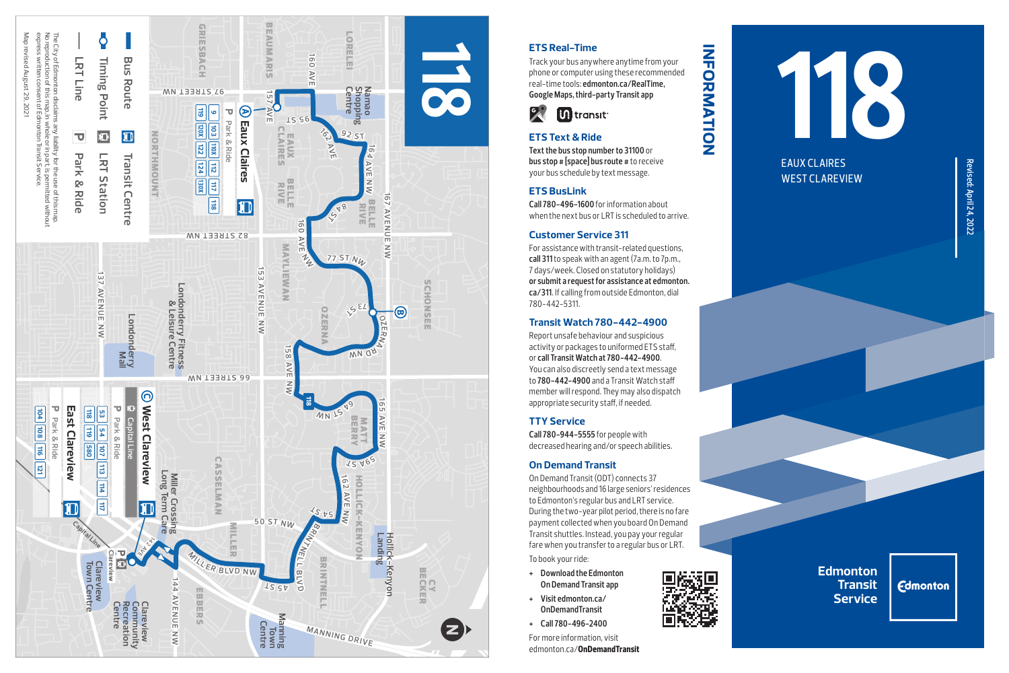

# **ETS Real-Time**

Track your bus anywhere anytime from your phone or computer using these recommended real-time tools: **edmonton.ca/RealTime, Google Maps, third-party Transit app**

**information**

INFORMATION



## **ETS Text & Ride**

**Text the bus stop number to 31100** or **bus stop # [space] bus route #** to receive your bus schedule by text message.

### **ETS BusLink**

**Call 780-496-1600** for information about when the next bus or LRT is scheduled to arrive.

### **Customer Service 311**

For assistance with transit-related questions, **call 311** to speak with an agent (7a.m. to 7p.m., 7 days/week. Closed on statutory holidays) **or submit a request for assistance at edmonton. ca/311**. If calling from outside Edmonton, dial 780-442-5311.

### **Transit Watch 780-442-4900**

Report unsafe behaviour and suspicious activity or packages to uniformed ETS staff, or **call Transit Watch at 780-442-4900**. You can also discreetly send a text message to **780-442-4900** and a Transit Watch staff member will respond. They may also dispatch appropriate security staff, if needed.

## **TTY Service**

**Call 780-944-5555** for people with decreased hearing and/or speech abilities.

#### **On Demand Transit**

On Demand Transit (ODT) connects 37 neighbourhoods and 16 large seniors' residences to Edmonton's regular bus and LRT service. During the two-year pilot period, there is no fare payment collected when you board On Demand Transit shuttles. Instead, you pay your regular fare when you transfer to a regular bus or LRT. To book your ride:

- **+ Download the Edmonton On Demand Transit app**
- **+ Visit edmonton.ca/ OnDemandTransit**
- **+ Call 780-496-2400**

For more information, visit edmonton.ca/**OnDemandTransit**



EAUX CLAIRES WEST CLAREVIEW

> **Edmonton Transit Service**

**Edmonton**